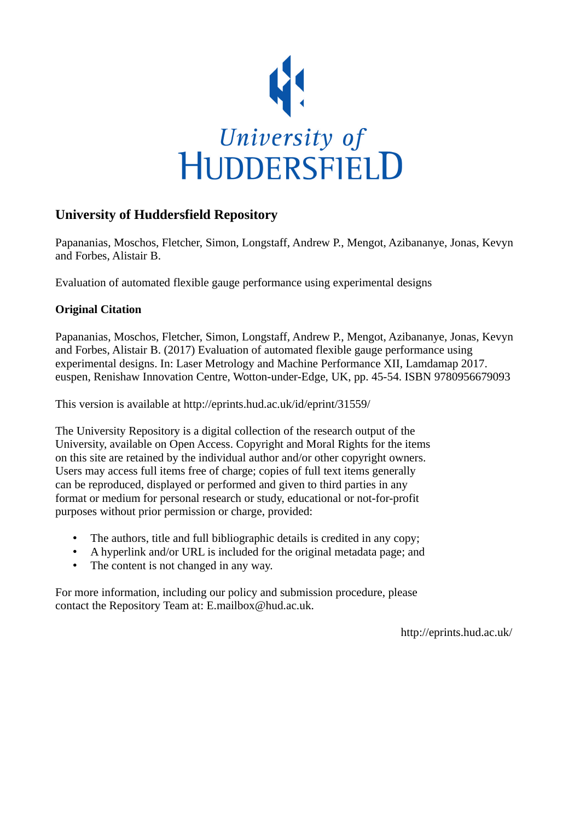

## **University of Huddersfield Repository**

Papananias, Moschos, Fletcher, Simon, Longstaff, Andrew P., Mengot, Azibananye, Jonas, Kevyn and Forbes, Alistair B.

Evaluation of automated flexible gauge performance using experimental designs

## **Original Citation**

Papananias, Moschos, Fletcher, Simon, Longstaff, Andrew P., Mengot, Azibananye, Jonas, Kevyn and Forbes, Alistair B. (2017) Evaluation of automated flexible gauge performance using experimental designs. In: Laser Metrology and Machine Performance XII, Lamdamap 2017. euspen, Renishaw Innovation Centre, Wotton-under-Edge, UK, pp. 45-54. ISBN 9780956679093

This version is available at http://eprints.hud.ac.uk/id/eprint/31559/

The University Repository is a digital collection of the research output of the University, available on Open Access. Copyright and Moral Rights for the items on this site are retained by the individual author and/or other copyright owners. Users may access full items free of charge; copies of full text items generally can be reproduced, displayed or performed and given to third parties in any format or medium for personal research or study, educational or not-for-profit purposes without prior permission or charge, provided:

- The authors, title and full bibliographic details is credited in any copy;
- A hyperlink and/or URL is included for the original metadata page; and
- The content is not changed in any way.

For more information, including our policy and submission procedure, please contact the Repository Team at: E.mailbox@hud.ac.uk.

http://eprints.hud.ac.uk/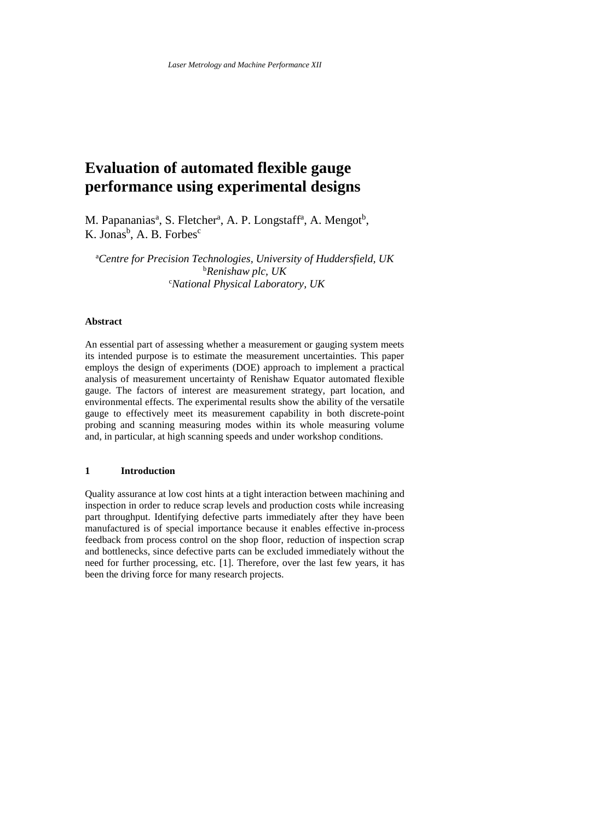# **Evaluation of automated flexible gauge performance using experimental designs**

M. Papananias<sup>a</sup>, S. Fletcher<sup>a</sup>, A. P. Longstaff<sup>a</sup>, A. Mengot<sup>b</sup>, K. Jonas<sup>b</sup>, A. B. Forbes<sup>c</sup>

<sup>a</sup>*Centre for Precision Technologies, University of Huddersfield, UK* <sup>b</sup>*Renishaw plc, UK* <sup>c</sup>*National Physical Laboratory, UK*

## **Abstract**

An essential part of assessing whether a measurement or gauging system meets its intended purpose is to estimate the measurement uncertainties. This paper employs the design of experiments (DOE) approach to implement a practical analysis of measurement uncertainty of Renishaw Equator automated flexible gauge. The factors of interest are measurement strategy, part location, and environmental effects. The experimental results show the ability of the versatile gauge to effectively meet its measurement capability in both discrete-point probing and scanning measuring modes within its whole measuring volume and, in particular, at high scanning speeds and under workshop conditions.

## **1 Introduction**

Quality assurance at low cost hints at a tight interaction between machining and inspection in order to reduce scrap levels and production costs while increasing part throughput. Identifying defective parts immediately after they have been manufactured is of special importance because it enables effective in-process feedback from process control on the shop floor, reduction of inspection scrap and bottlenecks, since defective parts can be excluded immediately without the need for further processing, etc. [1]. Therefore, over the last few years, it has been the driving force for many research projects.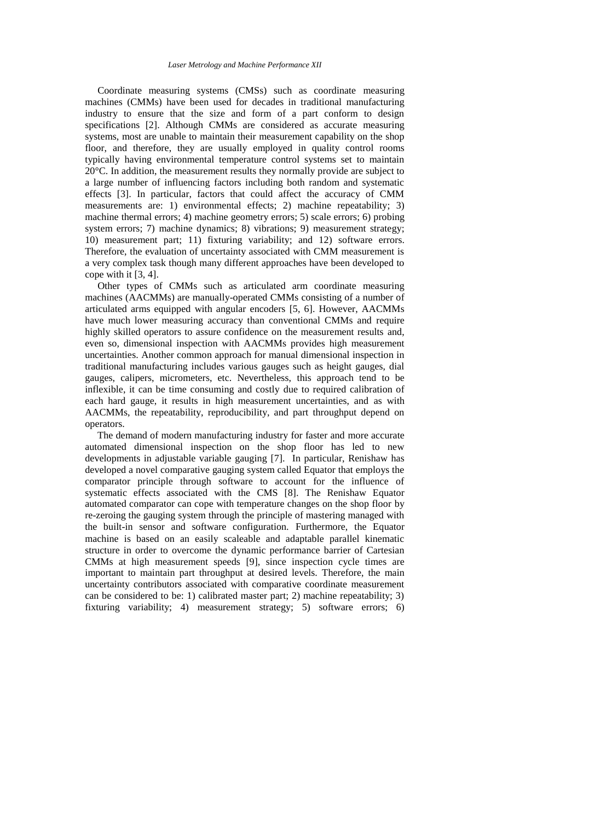Coordinate measuring systems (CMSs) such as coordinate measuring machines (CMMs) have been used for decades in traditional manufacturing industry to ensure that the size and form of a part conform to design specifications [2]. Although CMMs are considered as accurate measuring systems, most are unable to maintain their measurement capability on the shop floor, and therefore, they are usually employed in quality control rooms typically having environmental temperature control systems set to maintain 20°C. In addition, the measurement results they normally provide are subject to a large number of influencing factors including both random and systematic effects [3]. In particular, factors that could affect the accuracy of CMM measurements are: 1) environmental effects; 2) machine repeatability; 3) machine thermal errors; 4) machine geometry errors; 5) scale errors; 6) probing system errors; 7) machine dynamics; 8) vibrations; 9) measurement strategy; 10) measurement part; 11) fixturing variability; and 12) software errors. Therefore, the evaluation of uncertainty associated with CMM measurement is a very complex task though many different approaches have been developed to cope with it [3, 4].

 Other types of CMMs such as articulated arm coordinate measuring machines (AACMMs) are manually-operated CMMs consisting of a number of articulated arms equipped with angular encoders [5, 6]. However, AACMMs have much lower measuring accuracy than conventional CMMs and require highly skilled operators to assure confidence on the measurement results and, even so, dimensional inspection with AACMMs provides high measurement uncertainties. Another common approach for manual dimensional inspection in traditional manufacturing includes various gauges such as height gauges, dial gauges, calipers, micrometers, etc. Nevertheless, this approach tend to be inflexible, it can be time consuming and costly due to required calibration of each hard gauge, it results in high measurement uncertainties, and as with AACMMs, the repeatability, reproducibility, and part throughput depend on operators.

 The demand of modern manufacturing industry for faster and more accurate automated dimensional inspection on the shop floor has led to new developments in adjustable variable gauging [7]. In particular, Renishaw has developed a novel comparative gauging system called Equator that employs the comparator principle through software to account for the influence of systematic effects associated with the CMS [8]. The Renishaw Equator automated comparator can cope with temperature changes on the shop floor by re-zeroing the gauging system through the principle of mastering managed with the built-in sensor and software configuration. Furthermore, the Equator machine is based on an easily scaleable and adaptable parallel kinematic structure in order to overcome the dynamic performance barrier of Cartesian CMMs at high measurement speeds [9], since inspection cycle times are important to maintain part throughput at desired levels. Therefore, the main uncertainty contributors associated with comparative coordinate measurement can be considered to be: 1) calibrated master part; 2) machine repeatability; 3) fixturing variability; 4) measurement strategy; 5) software errors; 6)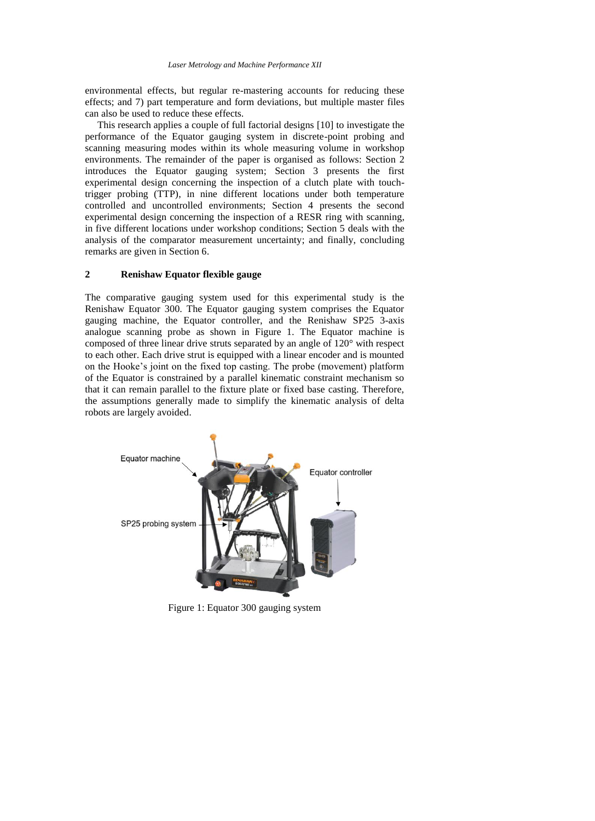environmental effects, but regular re-mastering accounts for reducing these effects; and 7) part temperature and form deviations, but multiple master files can also be used to reduce these effects.

 This research applies a couple of full factorial designs [10] to investigate the performance of the Equator gauging system in discrete-point probing and scanning measuring modes within its whole measuring volume in workshop environments. The remainder of the paper is organised as follows: Section 2 introduces the Equator gauging system; Section 3 presents the first experimental design concerning the inspection of a clutch plate with touchtrigger probing (TTP), in nine different locations under both temperature controlled and uncontrolled environments; Section 4 presents the second experimental design concerning the inspection of a RESR ring with scanning, in five different locations under workshop conditions; Section 5 deals with the analysis of the comparator measurement uncertainty; and finally, concluding remarks are given in Section 6.

## **2 Renishaw Equator flexible gauge**

The comparative gauging system used for this experimental study is the Renishaw Equator 300. The Equator gauging system comprises the Equator gauging machine, the Equator controller, and the Renishaw SP25 3-axis analogue scanning probe as shown in Figure 1. The Equator machine is composed of three linear drive struts separated by an angle of 120° with respect to each other. Each drive strut is equipped with a linear encoder and is mounted on the Hooke's joint on the fixed top casting. The probe (movement) platform of the Equator is constrained by a parallel kinematic constraint mechanism so that it can remain parallel to the fixture plate or fixed base casting. Therefore, the assumptions generally made to simplify the kinematic analysis of delta robots are largely avoided.



Figure 1: Equator 300 gauging system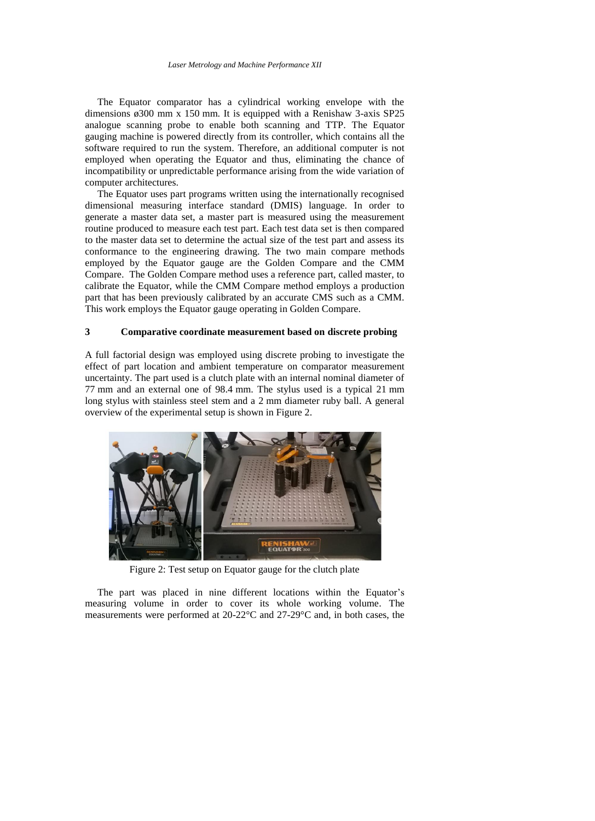The Equator comparator has a cylindrical working envelope with the dimensions ø300 mm x 150 mm. It is equipped with a Renishaw 3-axis SP25 analogue scanning probe to enable both scanning and TTP. The Equator gauging machine is powered directly from its controller, which contains all the software required to run the system. Therefore, an additional computer is not employed when operating the Equator and thus, eliminating the chance of incompatibility or unpredictable performance arising from the wide variation of computer architectures.

 The Equator uses part programs written using the internationally recognised dimensional measuring interface standard (DMIS) language. In order to generate a master data set, a master part is measured using the measurement routine produced to measure each test part. Each test data set is then compared to the master data set to determine the actual size of the test part and assess its conformance to the engineering drawing. The two main compare methods employed by the Equator gauge are the Golden Compare and the CMM Compare. The Golden Compare method uses a reference part, called master, to calibrate the Equator, while the CMM Compare method employs a production part that has been previously calibrated by an accurate CMS such as a CMM. This work employs the Equator gauge operating in Golden Compare.

## **3 Comparative coordinate measurement based on discrete probing**

A full factorial design was employed using discrete probing to investigate the effect of part location and ambient temperature on comparator measurement uncertainty. The part used is a clutch plate with an internal nominal diameter of 77 mm and an external one of 98.4 mm. The stylus used is a typical 21 mm long stylus with stainless steel stem and a 2 mm diameter ruby ball. A general overview of the experimental setup is shown in Figure 2.



Figure 2: Test setup on Equator gauge for the clutch plate

 The part was placed in nine different locations within the Equator's measuring volume in order to cover its whole working volume. The measurements were performed at 20-22°C and 27-29°C and, in both cases, the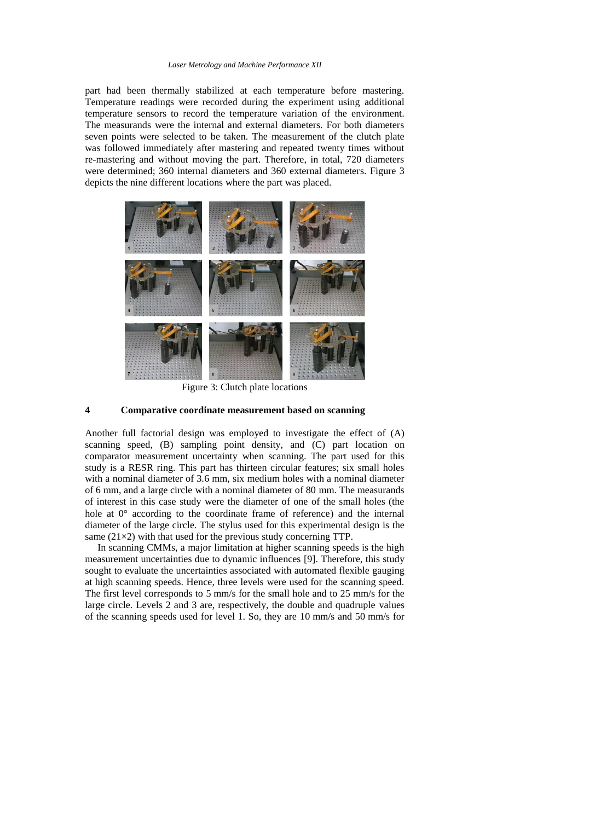#### *Laser Metrology and Machine Performance XII*

part had been thermally stabilized at each temperature before mastering. Temperature readings were recorded during the experiment using additional temperature sensors to record the temperature variation of the environment. The measurands were the internal and external diameters. For both diameters seven points were selected to be taken. The measurement of the clutch plate was followed immediately after mastering and repeated twenty times without re-mastering and without moving the part. Therefore, in total, 720 diameters were determined; 360 internal diameters and 360 external diameters. Figure 3 depicts the nine different locations where the part was placed.



Figure 3: Clutch plate locations

### **4 Comparative coordinate measurement based on scanning**

Another full factorial design was employed to investigate the effect of (A) scanning speed, (B) sampling point density, and (C) part location on comparator measurement uncertainty when scanning. The part used for this study is a RESR ring. This part has thirteen circular features; six small holes with a nominal diameter of 3.6 mm, six medium holes with a nominal diameter of 6 mm, and a large circle with a nominal diameter of 80 mm. The measurands of interest in this case study were the diameter of one of the small holes (the hole at 0° according to the coordinate frame of reference) and the internal diameter of the large circle. The stylus used for this experimental design is the same  $(21\times2)$  with that used for the previous study concerning TTP.

 In scanning CMMs, a major limitation at higher scanning speeds is the high measurement uncertainties due to dynamic influences [9]. Therefore, this study sought to evaluate the uncertainties associated with automated flexible gauging at high scanning speeds. Hence, three levels were used for the scanning speed. The first level corresponds to 5 mm/s for the small hole and to 25 mm/s for the large circle. Levels 2 and 3 are, respectively, the double and quadruple values of the scanning speeds used for level 1. So, they are 10 mm/s and 50 mm/s for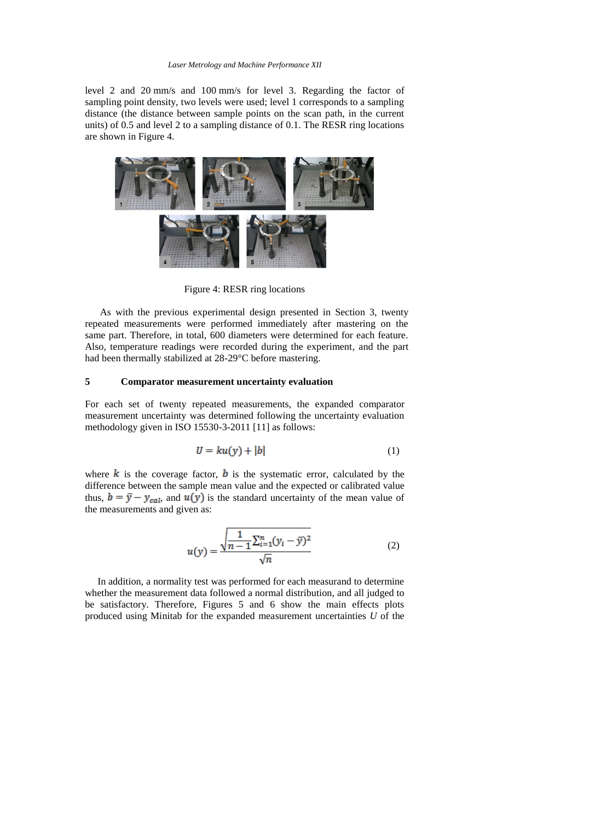#### *Laser Metrology and Machine Performance XII*

level 2 and 20 mm/s and 100 mm/s for level 3. Regarding the factor of sampling point density, two levels were used; level 1 corresponds to a sampling distance (the distance between sample points on the scan path, in the current units) of 0.5 and level 2 to a sampling distance of 0.1. The RESR ring locations are shown in Figure 4.



Figure 4: RESR ring locations

 As with the previous experimental design presented in Section 3, twenty repeated measurements were performed immediately after mastering on the same part. Therefore, in total, 600 diameters were determined for each feature. Also, temperature readings were recorded during the experiment, and the part had been thermally stabilized at 28-29°C before mastering.

## **5 Comparator measurement uncertainty evaluation**

For each set of twenty repeated measurements, the expanded comparator measurement uncertainty was determined following the uncertainty evaluation methodology given in ISO 15530-3-2011 [11] as follows:

$$
U = ku(y) + |b| \tag{1}
$$

where  $\boldsymbol{k}$  is the coverage factor,  $\boldsymbol{b}$  is the systematic error, calculated by the difference between the sample mean value and the expected or calibrated value thus,  $b = \overline{y} - y_{cal}$ , and  $u(y)$  is the standard uncertainty of the mean value of the measurements and given as:

$$
u(y) = \frac{\sqrt{\frac{1}{n-1} \sum_{i=1}^{n} (y_i - \bar{y})^2}}{\sqrt{n}}
$$
 (2)

 In addition, a normality test was performed for each measurand to determine whether the measurement data followed a normal distribution, and all judged to be satisfactory. Therefore, Figures 5 and 6 show the main effects plots produced using Minitab for the expanded measurement uncertainties *U* of the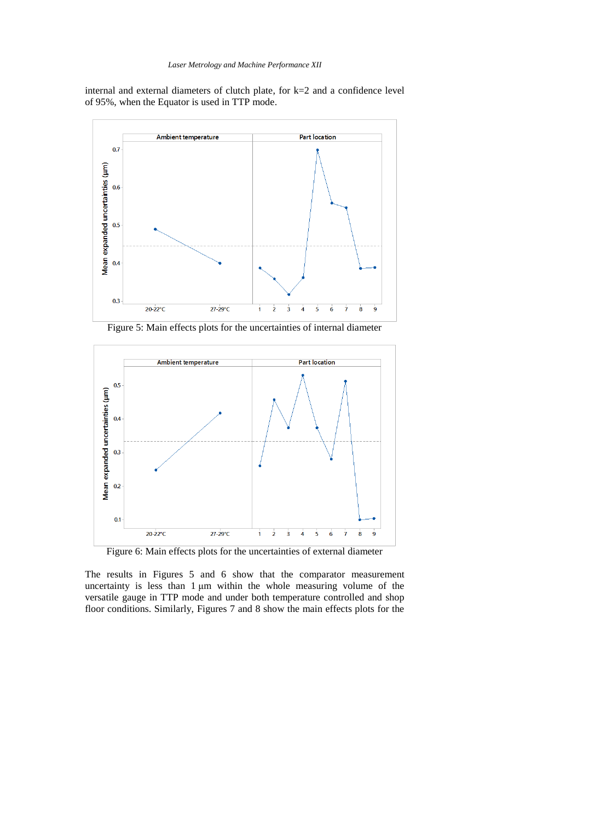internal and external diameters of clutch plate, for k=2 and a confidence level of 95%, when the Equator is used in TTP mode.



Figure 5: Main effects plots for the uncertainties of internal diameter



Figure 6: Main effects plots for the uncertainties of external diameter

The results in Figures 5 and 6 show that the comparator measurement uncertainty is less than 1 μm within the whole measuring volume of the versatile gauge in TTP mode and under both temperature controlled and shop floor conditions. Similarly, Figures 7 and 8 show the main effects plots for the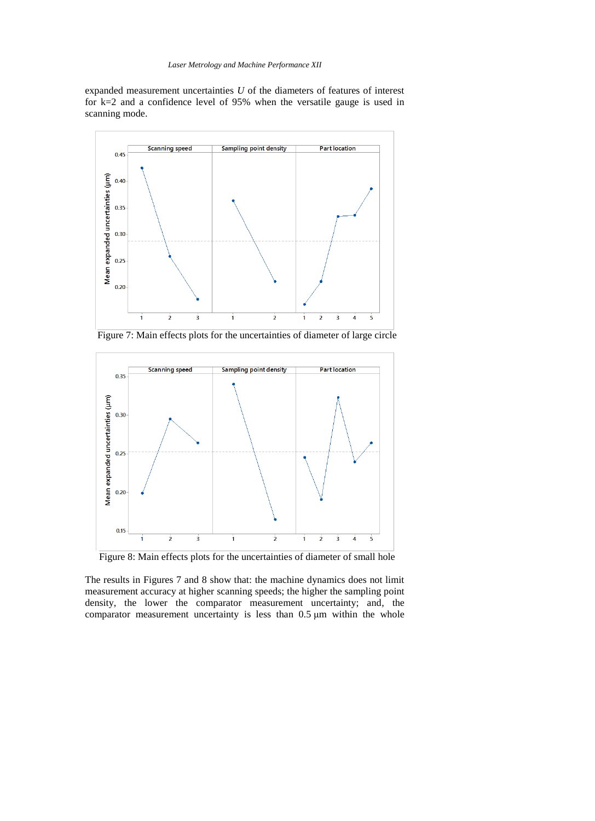expanded measurement uncertainties *U* of the diameters of features of interest for k=2 and a confidence level of 95% when the versatile gauge is used in scanning mode.



Figure 7: Main effects plots for the uncertainties of diameter of large circle



Figure 8: Main effects plots for the uncertainties of diameter of small hole

The results in Figures 7 and 8 show that: the machine dynamics does not limit measurement accuracy at higher scanning speeds; the higher the sampling point density, the lower the comparator measurement uncertainty; and, the comparator measurement uncertainty is less than 0.5 μm within the whole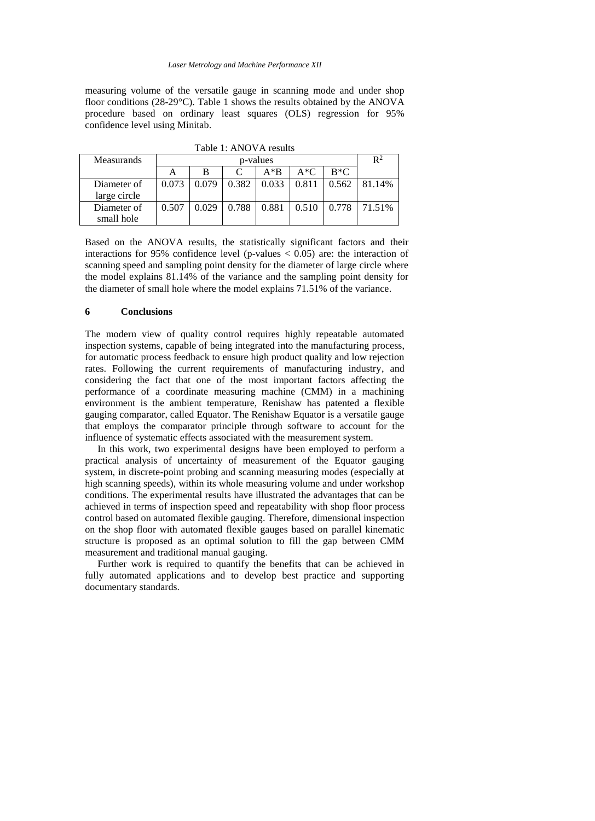measuring volume of the versatile gauge in scanning mode and under shop floor conditions (28-29°C). Table 1 shows the results obtained by the ANOVA procedure based on ordinary least squares (OLS) regression for 95% confidence level using Minitab.

| $1401C$ $1.713O$ $1.7183413$ |          |       |       |       |       |       |                |
|------------------------------|----------|-------|-------|-------|-------|-------|----------------|
| <b>Measurands</b>            | p-values |       |       |       |       |       | $\mathbf{R}^2$ |
|                              |          | В     |       | $A*B$ | $A*C$ | $R*C$ |                |
| Diameter of                  | 0.073    | 0.079 | 0.382 | 0.033 | 0.811 | 0.562 | 81.14%         |
| large circle                 |          |       |       |       |       |       |                |
| Diameter of                  | 0.507    | 0.029 | 0.788 | 0.881 | 0.510 | 0.778 | 71.51%         |
| small hole                   |          |       |       |       |       |       |                |

Table 1: ANOVA results

Based on the ANOVA results, the statistically significant factors and their interactions for 95% confidence level (p-values  $< 0.05$ ) are: the interaction of scanning speed and sampling point density for the diameter of large circle where the model explains 81.14% of the variance and the sampling point density for the diameter of small hole where the model explains 71.51% of the variance.

### **6 Conclusions**

The modern view of quality control requires highly repeatable automated inspection systems, capable of being integrated into the manufacturing process, for automatic process feedback to ensure high product quality and low rejection rates. Following the current requirements of manufacturing industry, and considering the fact that one of the most important factors affecting the performance of a coordinate measuring machine (CMM) in a machining environment is the ambient temperature, Renishaw has patented a flexible gauging comparator, called Equator. The Renishaw Equator is a versatile gauge that employs the comparator principle through software to account for the influence of systematic effects associated with the measurement system.

 In this work, two experimental designs have been employed to perform a practical analysis of uncertainty of measurement of the Equator gauging system, in discrete-point probing and scanning measuring modes (especially at high scanning speeds), within its whole measuring volume and under workshop conditions. The experimental results have illustrated the advantages that can be achieved in terms of inspection speed and repeatability with shop floor process control based on automated flexible gauging. Therefore, dimensional inspection on the shop floor with automated flexible gauges based on parallel kinematic structure is proposed as an optimal solution to fill the gap between CMM measurement and traditional manual gauging.

 Further work is required to quantify the benefits that can be achieved in fully automated applications and to develop best practice and supporting documentary standards.